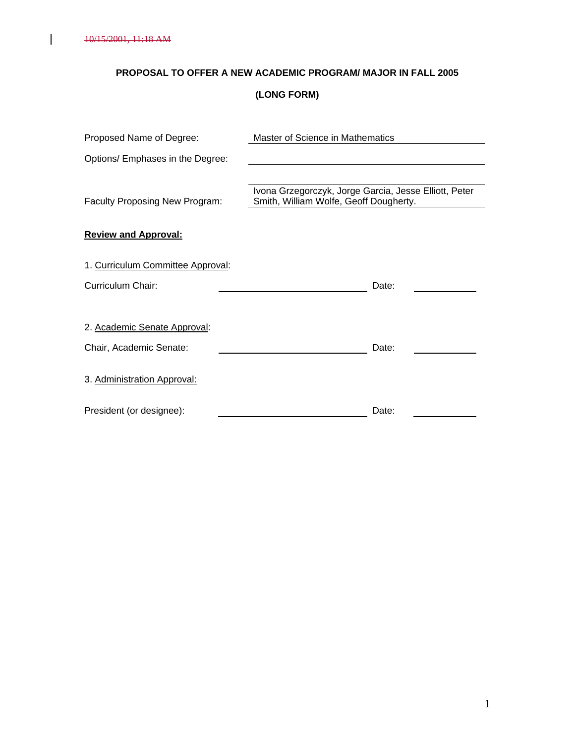$\overline{\phantom{a}}$ 

# **PROPOSAL TO OFFER A NEW ACADEMIC PROGRAM/ MAJOR IN FALL 2005**

# **(LONG FORM)**

| Proposed Name of Degree:          | Master of Science in Mathematics                                                                |
|-----------------------------------|-------------------------------------------------------------------------------------------------|
| Options/ Emphases in the Degree:  |                                                                                                 |
| Faculty Proposing New Program:    | Ivona Grzegorczyk, Jorge Garcia, Jesse Elliott, Peter<br>Smith, William Wolfe, Geoff Dougherty. |
| <b>Review and Approval:</b>       |                                                                                                 |
| 1. Curriculum Committee Approval: |                                                                                                 |
| Curriculum Chair:                 | Date:                                                                                           |
| 2. Academic Senate Approval:      |                                                                                                 |
| Chair, Academic Senate:           | Date:                                                                                           |
| 3. Administration Approval:       |                                                                                                 |
| President (or designee):          | Date:                                                                                           |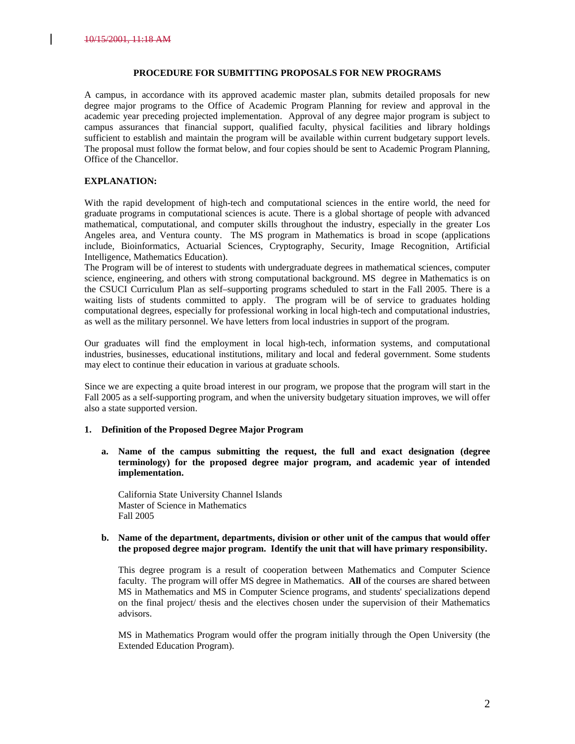#### **PROCEDURE FOR SUBMITTING PROPOSALS FOR NEW PROGRAMS**

A campus, in accordance with its approved academic master plan, submits detailed proposals for new degree major programs to the Office of Academic Program Planning for review and approval in the academic year preceding projected implementation. Approval of any degree major program is subject to campus assurances that financial support, qualified faculty, physical facilities and library holdings sufficient to establish and maintain the program will be available within current budgetary support levels. The proposal must follow the format below, and four copies should be sent to Academic Program Planning, Office of the Chancellor.

#### **EXPLANATION:**

With the rapid development of high-tech and computational sciences in the entire world, the need for graduate programs in computational sciences is acute. There is a global shortage of people with advanced mathematical, computational, and computer skills throughout the industry, especially in the greater Los Angeles area, and Ventura county. The MS program in Mathematics is broad in scope (applications include, Bioinformatics, Actuarial Sciences, Cryptography, Security, Image Recognition, Artificial Intelligence, Mathematics Education).

The Program will be of interest to students with undergraduate degrees in mathematical sciences, computer science, engineering, and others with strong computational background. MS degree in Mathematics is on the CSUCI Curriculum Plan as self–supporting programs scheduled to start in the Fall 2005. There is a waiting lists of students committed to apply. The program will be of service to graduates holding computational degrees, especially for professional working in local high-tech and computational industries, as well as the military personnel. We have letters from local industries in support of the program.

Our graduates will find the employment in local high-tech, information systems, and computational industries, businesses, educational institutions, military and local and federal government. Some students may elect to continue their education in various at graduate schools.

Since we are expecting a quite broad interest in our program, we propose that the program will start in the Fall 2005 as a self-supporting program, and when the university budgetary situation improves, we will offer also a state supported version.

#### **1. Definition of the Proposed Degree Major Program**

**a. Name of the campus submitting the request, the full and exact designation (degree terminology) for the proposed degree major program, and academic year of intended implementation.**

California State University Channel Islands Master of Science in Mathematics Fall 2005

#### **b. Name of the department, departments, division or other unit of the campus that would offer the proposed degree major program. Identify the unit that will have primary responsibility.**

This degree program is a result of cooperation between Mathematics and Computer Science faculty. The program will offer MS degree in Mathematics. **All** of the courses are shared between MS in Mathematics and MS in Computer Science programs, and students' specializations depend on the final project/ thesis and the electives chosen under the supervision of their Mathematics advisors.

MS in Mathematics Program would offer the program initially through the Open University (the Extended Education Program).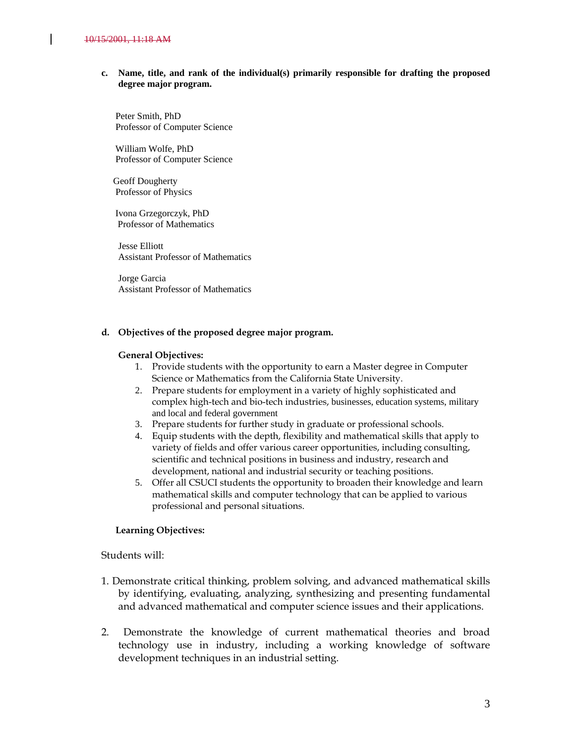#### **c. Name, title, and rank of the individual(s) primarily responsible for drafting the proposed degree major program.**

 Peter Smith, PhD Professor of Computer Science

 William Wolfe, PhD Professor of Computer Science

 Geoff Dougherty Professor of Physics

 Ivona Grzegorczyk, PhD Professor of Mathematics

Jesse Elliott Assistant Professor of Mathematics

Jorge Garcia Assistant Professor of Mathematics

#### **d. Objectives of the proposed degree major program.**

#### **General Objectives:**

- 1. Provide students with the opportunity to earn a Master degree in Computer Science or Mathematics from the California State University.
- 2. Prepare students for employment in a variety of highly sophisticated and complex high-tech and bio-tech industries, businesses, education systems, military and local and federal government
- 3. Prepare students for further study in graduate or professional schools.
- 4. Equip students with the depth, flexibility and mathematical skills that apply to variety of fields and offer various career opportunities, including consulting, scientific and technical positions in business and industry, research and development, national and industrial security or teaching positions.
- 5. Offer all CSUCI students the opportunity to broaden their knowledge and learn mathematical skills and computer technology that can be applied to various professional and personal situations.

#### **Learning Objectives:**

Students will:

- 1. Demonstrate critical thinking, problem solving, and advanced mathematical skills by identifying, evaluating, analyzing, synthesizing and presenting fundamental and advanced mathematical and computer science issues and their applications.
- 2. Demonstrate the knowledge of current mathematical theories and broad technology use in industry, including a working knowledge of software development techniques in an industrial setting.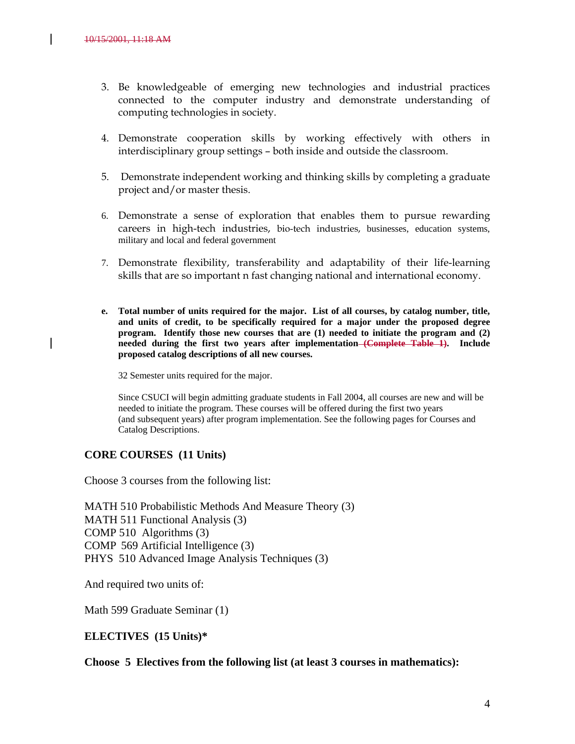- 3. Be knowledgeable of emerging new technologies and industrial practices connected to the computer industry and demonstrate understanding of computing technologies in society.
- 4. Demonstrate cooperation skills by working effectively with others in interdisciplinary group settings – both inside and outside the classroom.
- 5. Demonstrate independent working and thinking skills by completing a graduate project and/or master thesis.
- 6. Demonstrate a sense of exploration that enables them to pursue rewarding careers in high-tech industries, bio-tech industries, businesses, education systems, military and local and federal government
- 7. Demonstrate flexibility, transferability and adaptability of their life-learning skills that are so important n fast changing national and international economy.
- **e. Total number of units required for the major. List of all courses, by catalog number, title, and units of credit, to be specifically required for a major under the proposed degree program. Identify those new courses that are (1) needed to initiate the program and (2) needed during the first two years after implementation (Complete Table 1). Include proposed catalog descriptions of all new courses.**

32 Semester units required for the major.

Since CSUCI will begin admitting graduate students in Fall 2004, all courses are new and will be needed to initiate the program. These courses will be offered during the first two years (and subsequent years) after program implementation. See the following pages for Courses and Catalog Descriptions.

#### **CORE COURSES (11 Units)**

Choose 3 courses from the following list:

MATH 510 Probabilistic Methods And Measure Theory (3) MATH 511 Functional Analysis (3) COMP 510 Algorithms (3) COMP 569 Artificial Intelligence (3) PHYS 510 Advanced Image Analysis Techniques (3)

And required two units of:

Math 599 Graduate Seminar (1)

**ELECTIVES (15 Units)\***

**Choose 5 Electives from the following list (at least 3 courses in mathematics):**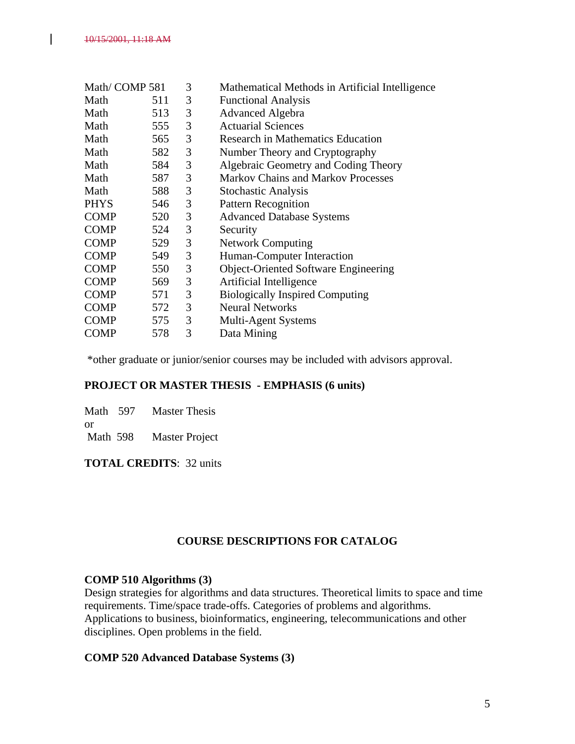| Math/COMP 581 |     | 3 | Mathematical Methods in Artificial Intelligence |
|---------------|-----|---|-------------------------------------------------|
| Math          | 511 | 3 | <b>Functional Analysis</b>                      |
| Math          | 513 | 3 | <b>Advanced Algebra</b>                         |
| Math          | 555 | 3 | <b>Actuarial Sciences</b>                       |
| Math          | 565 | 3 | <b>Research in Mathematics Education</b>        |
| Math          | 582 | 3 | Number Theory and Cryptography                  |
| Math          | 584 | 3 | Algebraic Geometry and Coding Theory            |
| Math          | 587 | 3 | <b>Markov Chains and Markov Processes</b>       |
| Math          | 588 | 3 | <b>Stochastic Analysis</b>                      |
| <b>PHYS</b>   | 546 | 3 | <b>Pattern Recognition</b>                      |
| <b>COMP</b>   | 520 | 3 | <b>Advanced Database Systems</b>                |
| <b>COMP</b>   | 524 | 3 | Security                                        |
| <b>COMP</b>   | 529 | 3 | <b>Network Computing</b>                        |
| <b>COMP</b>   | 549 | 3 | Human-Computer Interaction                      |
| <b>COMP</b>   | 550 | 3 | <b>Object-Oriented Software Engineering</b>     |
| <b>COMP</b>   | 569 | 3 | Artificial Intelligence                         |
| <b>COMP</b>   | 571 | 3 | <b>Biologically Inspired Computing</b>          |
| <b>COMP</b>   | 572 | 3 | <b>Neural Networks</b>                          |
| <b>COMP</b>   | 575 | 3 | <b>Multi-Agent Systems</b>                      |
| <b>COMP</b>   | 578 | 3 | Data Mining                                     |

\*other graduate or junior/senior courses may be included with advisors approval.

### **PROJECT OR MASTER THESIS - EMPHASIS (6 units)**

Math 597 Master Thesis or

Math 598 Master Project

**TOTAL CREDITS**: 32 units

### **COURSE DESCRIPTIONS FOR CATALOG**

### **COMP 510 Algorithms (3)**

Design strategies for algorithms and data structures. Theoretical limits to space and time requirements. Time/space trade-offs. Categories of problems and algorithms. Applications to business, bioinformatics, engineering, telecommunications and other disciplines. Open problems in the field.

### **COMP 520 Advanced Database Systems (3)**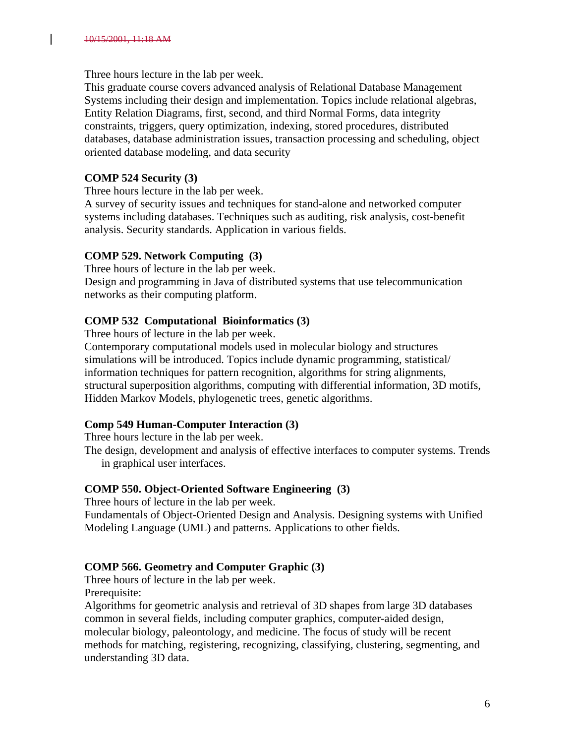Three hours lecture in the lab per week.

This graduate course covers advanced analysis of Relational Database Management Systems including their design and implementation. Topics include relational algebras, Entity Relation Diagrams, first, second, and third Normal Forms, data integrity constraints, triggers, query optimization, indexing, stored procedures, distributed databases, database administration issues, transaction processing and scheduling, object oriented database modeling, and data security

# **COMP 524 Security (3)**

Three hours lecture in the lab per week.

A survey of security issues and techniques for stand-alone and networked computer systems including databases. Techniques such as auditing, risk analysis, cost-benefit analysis. Security standards. Application in various fields.

# **COMP 529. Network Computing (3)**

Three hours of lecture in the lab per week. Design and programming in Java of distributed systems that use telecommunication networks as their computing platform.

# **COMP 532 Computational Bioinformatics (3)**

Three hours of lecture in the lab per week.

Contemporary computational models used in molecular biology and structures simulations will be introduced. Topics include dynamic programming, statistical/ information techniques for pattern recognition, algorithms for string alignments, structural superposition algorithms, computing with differential information, 3D motifs, Hidden Markov Models, phylogenetic trees, genetic algorithms.

# **Comp 549 Human-Computer Interaction (3)**

Three hours lecture in the lab per week.

The design, development and analysis of effective interfaces to computer systems. Trends in graphical user interfaces.

### **COMP 550. Object-Oriented Software Engineering (3)**

Three hours of lecture in the lab per week.

Fundamentals of Object-Oriented Design and Analysis. Designing systems with Unified Modeling Language (UML) and patterns. Applications to other fields.

# **COMP 566. Geometry and Computer Graphic (3)**

Three hours of lecture in the lab per week.

Prerequisite:

Algorithms for geometric analysis and retrieval of 3D shapes from large 3D databases common in several fields, including computer graphics, computer-aided design, molecular biology, paleontology, and medicine. The focus of study will be recent methods for matching, registering, recognizing, classifying, clustering, segmenting, and understanding 3D data.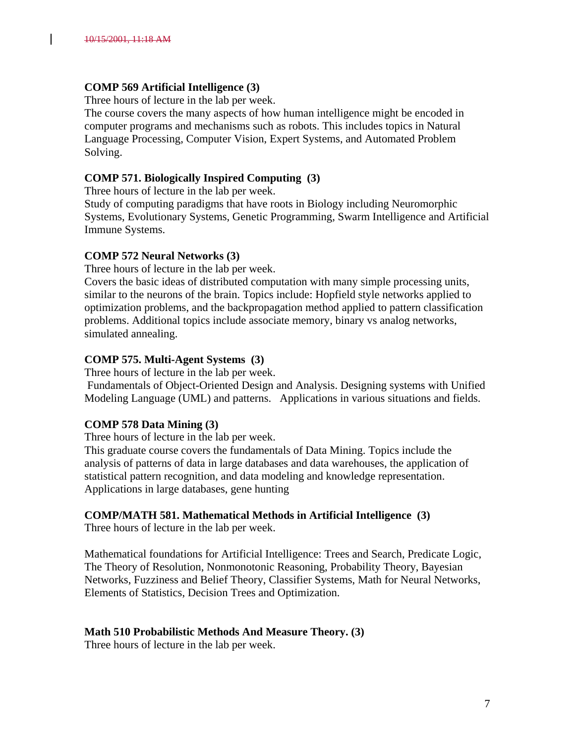### **COMP 569 Artificial Intelligence (3)**

Three hours of lecture in the lab per week.

The course covers the many aspects of how human intelligence might be encoded in computer programs and mechanisms such as robots. This includes topics in Natural Language Processing, Computer Vision, Expert Systems, and Automated Problem Solving.

### **COMP 571. Biologically Inspired Computing (3)**

Three hours of lecture in the lab per week.

Study of computing paradigms that have roots in Biology including Neuromorphic Systems, Evolutionary Systems, Genetic Programming, Swarm Intelligence and Artificial Immune Systems.

### **COMP 572 Neural Networks (3)**

Three hours of lecture in the lab per week.

Covers the basic ideas of distributed computation with many simple processing units, similar to the neurons of the brain. Topics include: Hopfield style networks applied to optimization problems, and the backpropagation method applied to pattern classification problems. Additional topics include associate memory, binary vs analog networks, simulated annealing.

### **COMP 575. Multi-Agent Systems (3)**

Three hours of lecture in the lab per week.

Fundamentals of Object-Oriented Design and Analysis. Designing systems with Unified Modeling Language (UML) and patterns. Applications in various situations and fields.

### **COMP 578 Data Mining (3)**

Three hours of lecture in the lab per week.

This graduate course covers the fundamentals of Data Mining. Topics include the analysis of patterns of data in large databases and data warehouses, the application of statistical pattern recognition, and data modeling and knowledge representation. Applications in large databases, gene hunting

### **COMP/MATH 581. Mathematical Methods in Artificial Intelligence (3)**

Three hours of lecture in the lab per week.

Mathematical foundations for Artificial Intelligence: Trees and Search, Predicate Logic, The Theory of Resolution, Nonmonotonic Reasoning, Probability Theory, Bayesian Networks, Fuzziness and Belief Theory, Classifier Systems, Math for Neural Networks, Elements of Statistics, Decision Trees and Optimization.

### **Math 510 Probabilistic Methods And Measure Theory. (3)**

Three hours of lecture in the lab per week.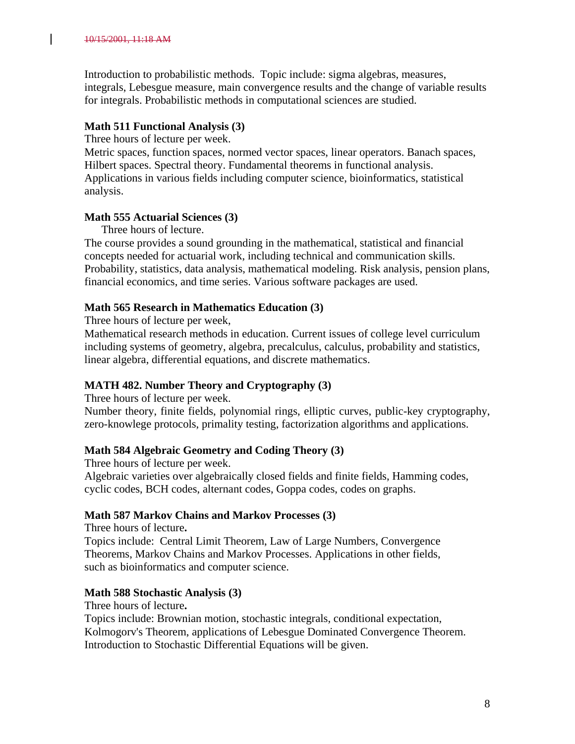Introduction to probabilistic methods. Topic include: sigma algebras, measures, integrals, Lebesgue measure, main convergence results and the change of variable results for integrals. Probabilistic methods in computational sciences are studied.

# **Math 511 Functional Analysis (3)**

Three hours of lecture per week.

Metric spaces, function spaces, normed vector spaces, linear operators. Banach spaces, Hilbert spaces. Spectral theory. Fundamental theorems in functional analysis. Applications in various fields including computer science, bioinformatics, statistical analysis.

### **Math 555 Actuarial Sciences (3)**

Three hours of lecture.

The course provides a sound grounding in the mathematical, statistical and financial concepts needed for actuarial work, including technical and communication skills. Probability, statistics, data analysis, mathematical modeling. Risk analysis, pension plans, financial economics, and time series. Various software packages are used.

## **Math 565 Research in Mathematics Education (3)**

Three hours of lecture per week,

Mathematical research methods in education. Current issues of college level curriculum including systems of geometry, algebra, precalculus, calculus, probability and statistics, linear algebra, differential equations, and discrete mathematics.

# **MATH 482. Number Theory and Cryptography (3)**

Three hours of lecture per week.

Number theory, finite fields, polynomial rings, elliptic curves, public-key cryptography, zero-knowlege protocols, primality testing, factorization algorithms and applications.

### **Math 584 Algebraic Geometry and Coding Theory (3)**

Three hours of lecture per week.

Algebraic varieties over algebraically closed fields and finite fields, Hamming codes, cyclic codes, BCH codes, alternant codes, Goppa codes, codes on graphs.

### **Math 587 Markov Chains and Markov Processes (3)**

Three hours of lecture**.**

Topics include: Central Limit Theorem, Law of Large Numbers, Convergence Theorems, Markov Chains and Markov Processes. Applications in other fields, such as bioinformatics and computer science.

### **Math 588 Stochastic Analysis (3)**

Three hours of lecture**.**

Topics include: Brownian motion, stochastic integrals, conditional expectation, Kolmogorv's Theorem, applications of Lebesgue Dominated Convergence Theorem. Introduction to Stochastic Differential Equations will be given.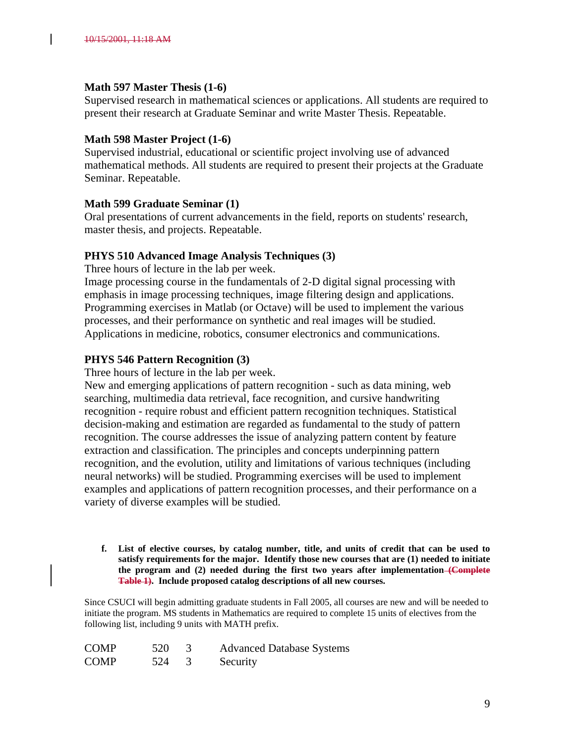#### **Math 597 Master Thesis (1-6)**

Supervised research in mathematical sciences or applications. All students are required to present their research at Graduate Seminar and write Master Thesis. Repeatable.

#### **Math 598 Master Project (1-6)**

Supervised industrial, educational or scientific project involving use of advanced mathematical methods. All students are required to present their projects at the Graduate Seminar. Repeatable.

### **Math 599 Graduate Seminar (1)**

Oral presentations of current advancements in the field, reports on students' research, master thesis, and projects. Repeatable.

### **PHYS 510 Advanced Image Analysis Techniques (3)**

Three hours of lecture in the lab per week. Image processing course in the fundamentals of 2-D digital signal processing with emphasis in image processing techniques, image filtering design and applications. Programming exercises in Matlab (or Octave) will be used to implement the various processes, and their performance on synthetic and real images will be studied.

#### Applications in medicine, robotics, consumer electronics and communications.

### **PHYS 546 Pattern Recognition (3)**

Three hours of lecture in the lab per week.

New and emerging applications of pattern recognition - such as data mining, web searching, multimedia data retrieval, face recognition, and cursive handwriting recognition - require robust and efficient pattern recognition techniques. Statistical decision-making and estimation are regarded as fundamental to the study of pattern recognition. The course addresses the issue of analyzing pattern content by feature extraction and classification. The principles and concepts underpinning pattern recognition, and the evolution, utility and limitations of various techniques (including neural networks) will be studied. Programming exercises will be used to implement examples and applications of pattern recognition processes, and their performance on a variety of diverse examples will be studied.

**f. List of elective courses, by catalog number, title, and units of credit that can be used to satisfy requirements for the major. Identify those new courses that are (1) needed to initiate the program and (2) needed during the first two years after implementation (Complete Table 1). Include proposed catalog descriptions of all new courses.** 

Since CSUCI will begin admitting graduate students in Fall 2005, all courses are new and will be needed to initiate the program. MS students in Mathematics are required to complete 15 units of electives from the following list, including 9 units with MATH prefix.

| <b>COMP</b> | 520 | <b>Advanced Database Systems</b> |
|-------------|-----|----------------------------------|
| <b>COMP</b> | 524 | Security                         |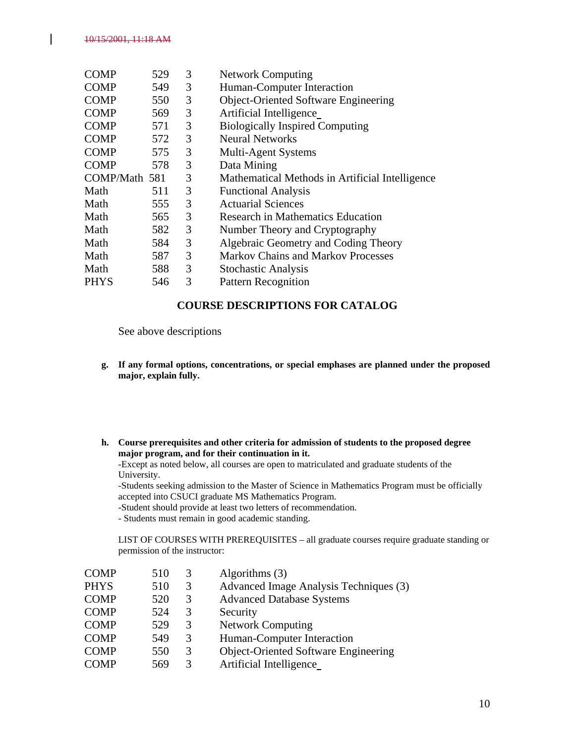| 529           | 3 | <b>Network Computing</b>                        |  |
|---------------|---|-------------------------------------------------|--|
| 549           | 3 | Human-Computer Interaction                      |  |
| 550           | 3 | <b>Object-Oriented Software Engineering</b>     |  |
| 569           | 3 | Artificial Intelligence                         |  |
| 571           | 3 | <b>Biologically Inspired Computing</b>          |  |
| 572           | 3 | <b>Neural Networks</b>                          |  |
| 575           | 3 | Multi-Agent Systems                             |  |
| 578           | 3 | Data Mining                                     |  |
| COMP/Math 581 | 3 | Mathematical Methods in Artificial Intelligence |  |
| 511           | 3 | <b>Functional Analysis</b>                      |  |
| 555           | 3 | <b>Actuarial Sciences</b>                       |  |
| 565           | 3 | <b>Research in Mathematics Education</b>        |  |
| 582           | 3 | Number Theory and Cryptography                  |  |
| 584           | 3 | Algebraic Geometry and Coding Theory            |  |
| 587           | 3 | <b>Markov Chains and Markov Processes</b>       |  |
|               | 3 | <b>Stochastic Analysis</b>                      |  |
| 546           | 3 | <b>Pattern Recognition</b>                      |  |
|               |   | 588                                             |  |

### **COURSE DESCRIPTIONS FOR CATALOG**

See above descriptions

- **g. If any formal options, concentrations, or special emphases are planned under the proposed major, explain fully.**
- **h. Course prerequisites and other criteria for admission of students to the proposed degree major program, and for their continuation in it.**

-Except as noted below, all courses are open to matriculated and graduate students of the University.

-Students seeking admission to the Master of Science in Mathematics Program must be officially accepted into CSUCI graduate MS Mathematics Program.

-Student should provide at least two letters of recommendation.

- Students must remain in good academic standing.

LIST OF COURSES WITH PREREQUISITES – all graduate courses require graduate standing or permission of the instructor:

| Advanced Image Analysis Techniques (3)      |
|---------------------------------------------|
| <b>Advanced Database Systems</b>            |
|                                             |
|                                             |
| Human-Computer Interaction                  |
| <b>Object-Oriented Software Engineering</b> |
|                                             |
|                                             |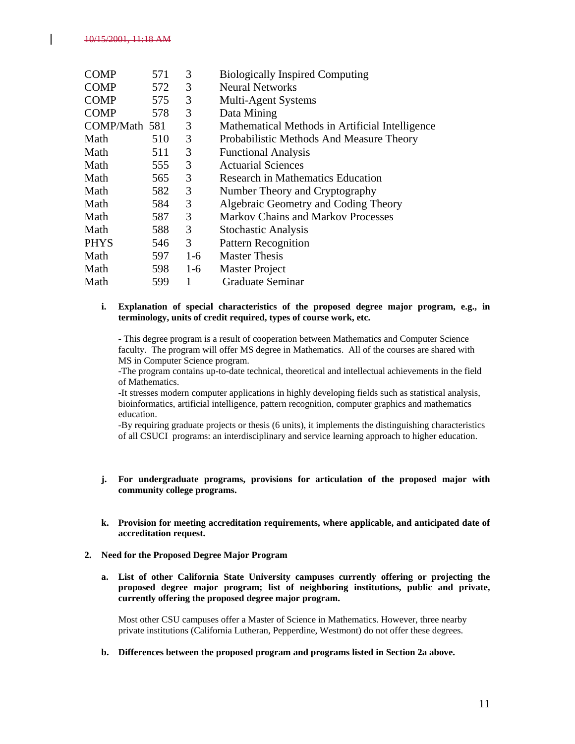| <b>COMP</b>   | 571 | 3     | <b>Biologically Inspired Computing</b>          |
|---------------|-----|-------|-------------------------------------------------|
| <b>COMP</b>   | 572 | 3     | <b>Neural Networks</b>                          |
| <b>COMP</b>   | 575 | 3     | Multi-Agent Systems                             |
| <b>COMP</b>   | 578 | 3     | Data Mining                                     |
| COMP/Math 581 |     | 3     | Mathematical Methods in Artificial Intelligence |
| Math          | 510 | 3     | Probabilistic Methods And Measure Theory        |
| Math          | 511 | 3     | <b>Functional Analysis</b>                      |
| Math          | 555 | 3     | <b>Actuarial Sciences</b>                       |
| Math          | 565 | 3     | Research in Mathematics Education               |
| Math          | 582 | 3     | Number Theory and Cryptography                  |
| Math          | 584 | 3     | Algebraic Geometry and Coding Theory            |
| Math          | 587 | 3     | <b>Markov Chains and Markov Processes</b>       |
| Math          | 588 | 3     | <b>Stochastic Analysis</b>                      |
| <b>PHYS</b>   | 546 | 3     | <b>Pattern Recognition</b>                      |
| Math          | 597 | $1-6$ | <b>Master Thesis</b>                            |
| Math          | 598 | $1-6$ | <b>Master Project</b>                           |
| Math          | 599 | 1     | <b>Graduate Seminar</b>                         |

#### **i. Explanation of special characteristics of the proposed degree major program, e.g., in terminology, units of credit required, types of course work, etc.**

- This degree program is a result of cooperation between Mathematics and Computer Science faculty. The program will offer MS degree in Mathematics. All of the courses are shared with MS in Computer Science program.

-The program contains up-to-date technical, theoretical and intellectual achievements in the field of Mathematics.

-It stresses modern computer applications in highly developing fields such as statistical analysis, bioinformatics, artificial intelligence, pattern recognition, computer graphics and mathematics education.

-By requiring graduate projects or thesis (6 units), it implements the distinguishing characteristics of all CSUCI programs: an interdisciplinary and service learning approach to higher education.

- **j. For undergraduate programs, provisions for articulation of the proposed major with community college programs.**
- **k. Provision for meeting accreditation requirements, where applicable, and anticipated date of accreditation request.**
- **2. Need for the Proposed Degree Major Program**
	- **a. List of other California State University campuses currently offering or projecting the proposed degree major program; list of neighboring institutions, public and private, currently offering the proposed degree major program.**

Most other CSU campuses offer a Master of Science in Mathematics. However, three nearby private institutions (California Lutheran, Pepperdine, Westmont) do not offer these degrees.

**b. Differences between the proposed program and programs listed in Section 2a above.**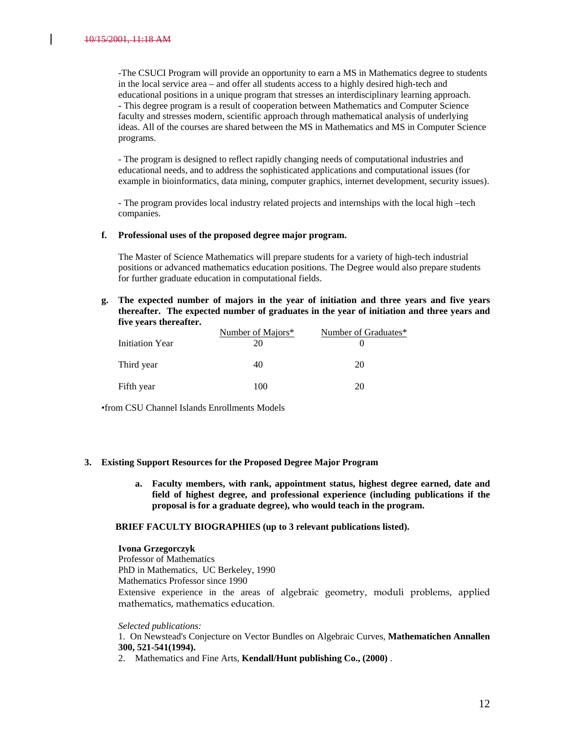-The CSUCI Program will provide an opportunity to earn a MS in Mathematics degree to students in the local service area – and offer all students access to a highly desired high-tech and educational positions in a unique program that stresses an interdisciplinary learning approach. - This degree program is a result of cooperation between Mathematics and Computer Science faculty and stresses modern, scientific approach through mathematical analysis of underlying ideas. All of the courses are shared between the MS in Mathematics and MS in Computer Science programs.

- The program is designed to reflect rapidly changing needs of computational industries and educational needs, and to address the sophisticated applications and computational issues (for example in bioinformatics, data mining, computer graphics, internet development, security issues).

- The program provides local industry related projects and internships with the local high –tech companies.

#### **f. Professional uses of the proposed degree major program.**

The Master of Science Mathematics will prepare students for a variety of high-tech industrial positions or advanced mathematics education positions. The Degree would also prepare students for further graduate education in computational fields.

**g. The expected number of majors in the year of initiation and three years and five years thereafter. The expected number of graduates in the year of initiation and three years and five years thereafter.**

|                 | Number of Majors* | Number of Graduates* |
|-----------------|-------------------|----------------------|
| Initiation Year | 20                |                      |
| Third year      | 40                | 20                   |
| Fifth year      | 100               | 20                   |

•from CSU Channel Islands Enrollments Models

#### **3. Existing Support Resources for the Proposed Degree Major Program**

**a. Faculty members, with rank, appointment status, highest degree earned, date and field of highest degree, and professional experience (including publications if the proposal is for a graduate degree), who would teach in the program.**

#### **BRIEF FACULTY BIOGRAPHIES (up to 3 relevant publications listed).**

#### **Ivona Grzegorczyk**

Professor of Mathematics PhD in Mathematics, UC Berkeley, 1990 Mathematics Professor since 1990 Extensive experience in the areas of algebraic geometry, moduli problems, applied mathematics, mathematics education.

#### *Selected publications:*

1. On Newstead's Conjecture on Vector Bundles on Algebraic Curves, **Mathematichen Annallen 300, 521-541(1994).**

2. Mathematics and Fine Arts, **Kendall/Hunt publishing Co., (2000)** .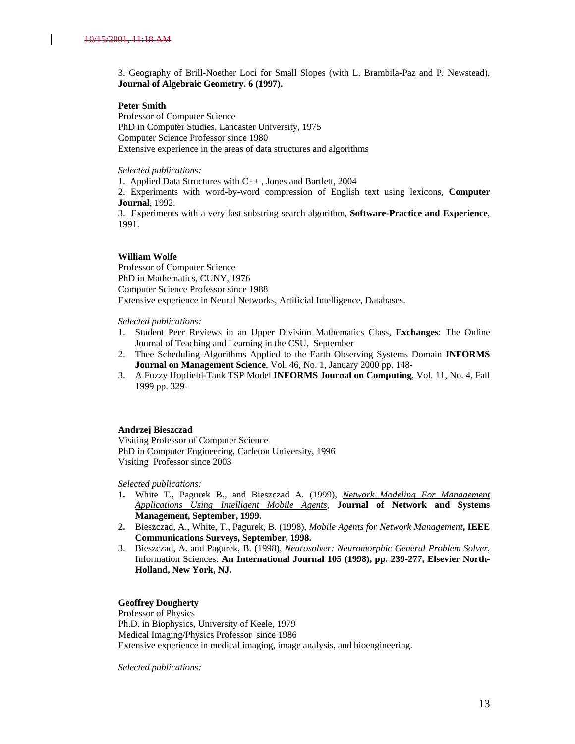3. Geography of Brill-Noether Loci for Small Slopes (with L. Brambila-Paz and P. Newstead), **Journal of Algebraic Geometry. 6 (1997).**

#### **Peter Smith**

Professor of Computer Science PhD in Computer Studies, Lancaster University, 1975 Computer Science Professor since 1980 Extensive experience in the areas of data structures and algorithms

*Selected publications:*

1. Applied Data Structures with C++ , Jones and Bartlett, 2004

2. Experiments with word-by-word compression of English text using lexicons, **Computer Journal**, 1992.

3. Experiments with a very fast substring search algorithm, **Software-Practice and Experience**, 1991.

#### **William Wolfe**

Professor of Computer Science PhD in Mathematics, CUNY, 1976 Computer Science Professor since 1988 Extensive experience in Neural Networks, Artificial Intelligence, Databases.

*Selected publications:*

- 1. Student Peer Reviews in an Upper Division Mathematics Class, **Exchanges**: The Online Journal of Teaching and Learning in the CSU, September
- 2. Thee Scheduling Algorithms Applied to the Earth Observing Systems Domain **INFORMS Journal on Management Science**, Vol. 46, No. 1, January 2000 pp. 148-
- 3. A Fuzzy Hopfield-Tank TSP Model **INFORMS Journal on Computing**, Vol. 11, No. 4, Fall 1999 pp. 329-

#### **Andrzej Bieszczad**

Visiting Professor of Computer Science PhD in Computer Engineering, Carleton University, 1996 Visiting Professor since 2003

*Selected publications:*

- **1.** White T., Pagurek B., and Bieszczad A. (1999), *[Network Modeling For Management](ftp://ftp.sce.carleton.ca/pub/netmanage/jnsm98-draft.zip)  [Applications Using Intelligent Mobile Agents](ftp://ftp.sce.carleton.ca/pub/netmanage/jnsm98-draft.zip)*, **Journal of Network and Systems Management, September, 1999.**
- **2.** Bieszczad, A., White, T., Pagurek, B. (1998), *[Mobile Agents for Network Management](ftp://ftp.sce.carleton.ca/pub/netmanage/ieee-cs-sep98.ps.gz)***, IEEE Communications Surveys, September, 1998.**
- 3. Bieszczad, A. and Pagurek, B. (1998), *[Neurosolver: Neuromorphic General Problem Solver](ftp://ftp.sce.carleton.ca/pub/netmanage/InformationSciences.ps.gz)*, Information Sciences: **An International Journal 105 (1998), pp. 239-277, Elsevier North-Holland, New York, NJ.**

#### **Geoffrey Dougherty**

Professor of Physics Ph.D. in Biophysics, University of Keele, 1979 Medical Imaging/Physics Professor since 1986 Extensive experience in medical imaging, image analysis, and bioengineering.

*Selected publications:*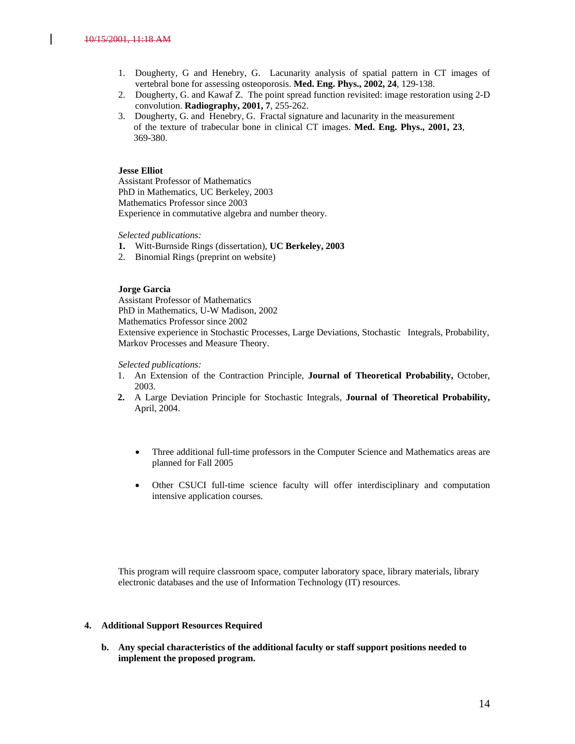- 1. Dougherty, G and Henebry, G. Lacunarity analysis of spatial pattern in CT images of vertebral bone for assessing osteoporosis. **Med. Eng. Phys., 2002, 24**, 129-138.
- 2. Dougherty, G. and Kawaf Z. The point spread function revisited: image restoration using 2-D convolution. **Radiography, 2001, 7**, 255-262.
- 3. Dougherty, G. and Henebry, G. Fractal signature and lacunarity in the measurement of the texture of trabecular bone in clinical CT images. **Med. Eng. Phys., 2001, 23**, 369-380.

#### **Jesse Elliot**

Assistant Professor of Mathematics PhD in Mathematics, UC Berkeley, 2003 Mathematics Professor since 2003 Experience in commutative algebra and number theory.

*Selected publications:*

- **1.** Witt-Burnside Rings (dissertation), **UC Berkeley, 2003**
- 2. Binomial Rings (preprint on website)

#### **Jorge Garcia**

Assistant Professor of Mathematics PhD in Mathematics, U-W Madison, 2002

Mathematics Professor since 2002

Extensive experience in Stochastic Processes, Large Deviations, Stochastic Integrals, Probability, Markov Processes and Measure Theory.

#### *Selected publications:*

- 1. An Extension of the Contraction Principle, **Journal of Theoretical Probability,** October, 2003.
- **2.** A Large Deviation Principle for Stochastic Integrals, **Journal of Theoretical Probability,**  April, 2004.
	- Three additional full-time professors in the Computer Science and Mathematics areas are planned for Fall 2005
	- Other CSUCI full-time science faculty will offer interdisciplinary and computation intensive application courses.

This program will require classroom space, computer laboratory space, library materials, library electronic databases and the use of Information Technology (IT) resources.

#### **4. Additional Support Resources Required**

**b. Any special characteristics of the additional faculty or staff support positions needed to implement the proposed program.**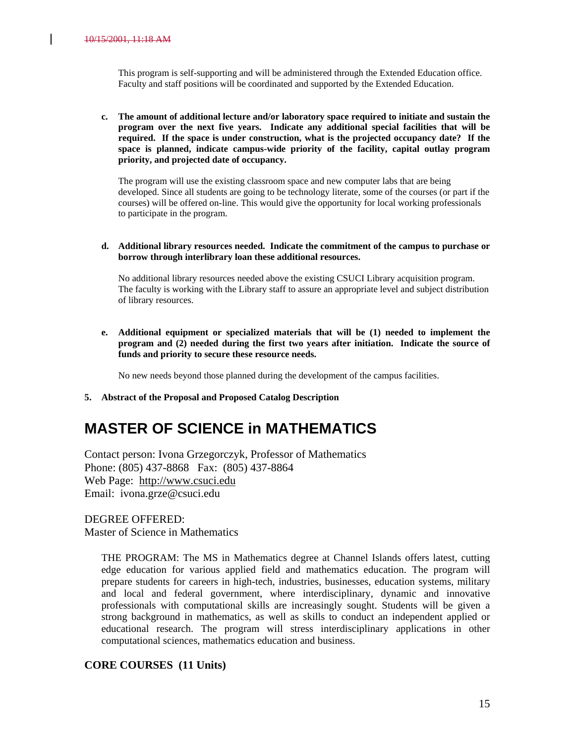This program is self-supporting and will be administered through the Extended Education office. Faculty and staff positions will be coordinated and supported by the Extended Education.

**c. The amount of additional lecture and/or laboratory space required to initiate and sustain the program over the next five years. Indicate any additional special facilities that will be required. If the space is under construction, what is the projected occupancy date? If the space is planned, indicate campus-wide priority of the facility, capital outlay program priority, and projected date of occupancy.**

The program will use the existing classroom space and new computer labs that are being developed. Since all students are going to be technology literate, some of the courses (or part if the courses) will be offered on-line. This would give the opportunity for local working professionals to participate in the program.

**d. Additional library resources needed. Indicate the commitment of the campus to purchase or borrow through interlibrary loan these additional resources.**

No additional library resources needed above the existing CSUCI Library acquisition program. The faculty is working with the Library staff to assure an appropriate level and subject distribution of library resources.

**e. Additional equipment or specialized materials that will be (1) needed to implement the program and (2) needed during the first two years after initiation. Indicate the source of funds and priority to secure these resource needs.**

No new needs beyond those planned during the development of the campus facilities.

**5. Abstract of the Proposal and Proposed Catalog Description**

# **MASTER OF SCIENCE in MATHEMATICS**

Contact person: Ivona Grzegorczyk, Professor of Mathematics Phone: (805) 437-8868 Fax: (805) 437-8864 Web Page: [http://www.csuci.edu](http://www.csuci.edu/) Email: ivona.grze@csuci.edu

DEGREE OFFERED: Master of Science in Mathematics

> THE PROGRAM: The MS in Mathematics degree at Channel Islands offers latest, cutting edge education for various applied field and mathematics education. The program will prepare students for careers in high-tech, industries, businesses, education systems, military and local and federal government, where interdisciplinary, dynamic and innovative professionals with computational skills are increasingly sought. Students will be given a strong background in mathematics, as well as skills to conduct an independent applied or educational research. The program will stress interdisciplinary applications in other computational sciences, mathematics education and business.

#### **CORE COURSES (11 Units)**